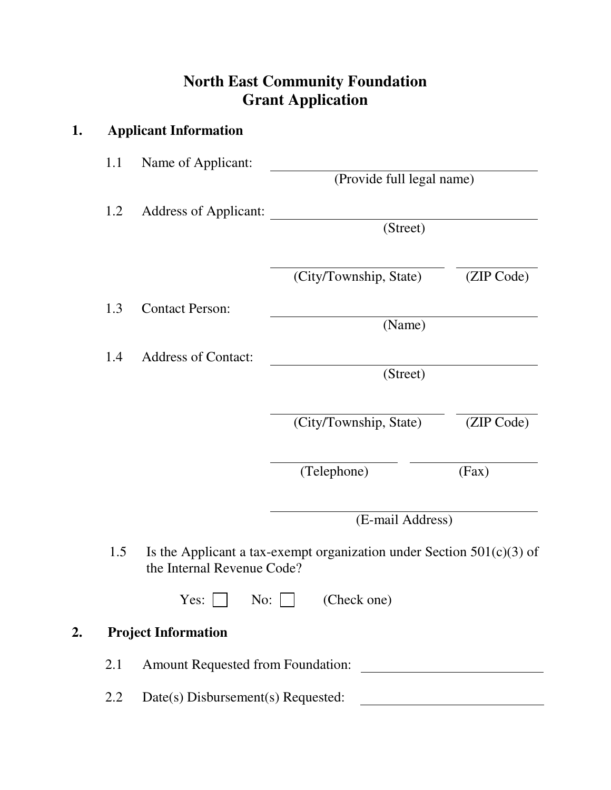## **North East Community Foundation Grant Application**

| 1. |     | <b>Applicant Information</b> |                                                                         |            |  |
|----|-----|------------------------------|-------------------------------------------------------------------------|------------|--|
|    | 1.1 | Name of Applicant:           | (Provide full legal name)                                               |            |  |
|    |     |                              |                                                                         |            |  |
|    | 1.2 | <b>Address of Applicant:</b> |                                                                         |            |  |
|    |     |                              | (Street)                                                                |            |  |
|    |     |                              | (City/Township, State)                                                  | (ZIP Code) |  |
|    | 1.3 | <b>Contact Person:</b>       |                                                                         |            |  |
|    |     |                              | (Name)                                                                  |            |  |
|    | 1.4 | <b>Address of Contact:</b>   |                                                                         |            |  |
|    |     |                              | (Street)                                                                |            |  |
|    |     |                              |                                                                         |            |  |
|    |     |                              | (City/Township, State)                                                  | (ZIP Code) |  |
|    |     |                              | (Telephone)                                                             | (Fax)      |  |
|    |     |                              | (E-mail Address)                                                        |            |  |
|    | 1.5 | the Internal Revenue Code?   | Is the Applicant a tax-exempt organization under Section $501(c)(3)$ of |            |  |
|    |     |                              | Yes: $\Box$ No: $\Box$ (Check one)                                      |            |  |
| 2. |     | <b>Project Information</b>   |                                                                         |            |  |
|    | 2.1 |                              |                                                                         |            |  |
|    | 2.2 |                              |                                                                         |            |  |
|    |     |                              |                                                                         |            |  |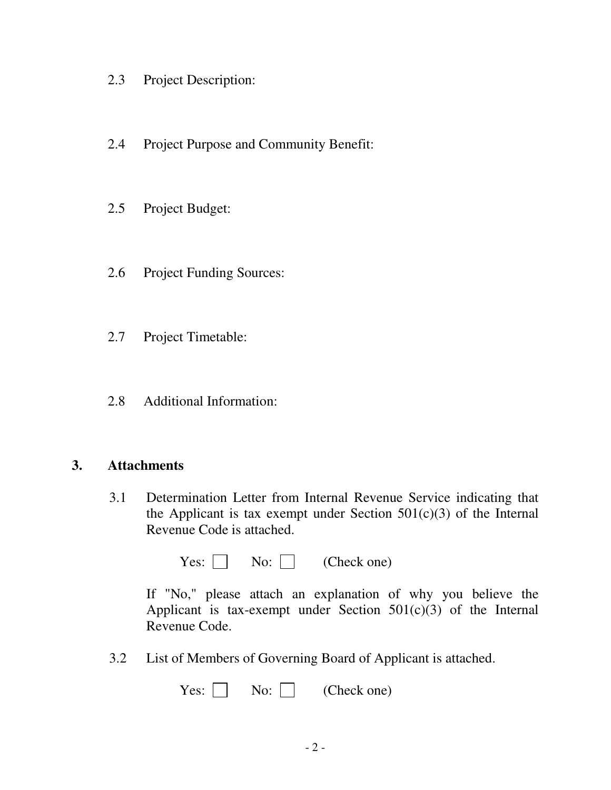- 2.3 Project Description:
- 2.4 Project Purpose and Community Benefit:
- 2.5 Project Budget:
- 2.6 Project Funding Sources:
- 2.7 Project Timetable:
- 2.8 Additional Information:

## **3. Attachments**

3.1 Determination Letter from Internal Revenue Service indicating that the Applicant is tax exempt under Section  $501(c)(3)$  of the Internal Revenue Code is attached.

Yes:  $\Box$  No:  $\Box$  (Check one)

 If "No," please attach an explanation of why you believe the Applicant is tax-exempt under Section  $501(c)(3)$  of the Internal Revenue Code.

3.2 List of Members of Governing Board of Applicant is attached.

|  | Yes: $\Box$ No: $\Box$ | (Check one) |
|--|------------------------|-------------|
|--|------------------------|-------------|